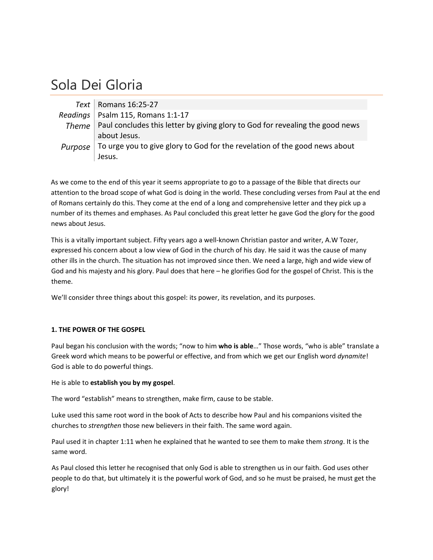## Sola Dei Gloria

|         | Text   Romans $16:25-27$                                                                    |
|---------|---------------------------------------------------------------------------------------------|
|         | Readings   Psalm 115, Romans 1:1-17                                                         |
|         | Theme $\vert$ Paul concludes this letter by giving glory to God for revealing the good news |
|         | about Jesus.                                                                                |
| Purpose | To urge you to give glory to God for the revelation of the good news about                  |
|         | Jesus.                                                                                      |

As we come to the end of this year it seems appropriate to go to a passage of the Bible that directs our attention to the broad scope of what God is doing in the world. These concluding verses from Paul at the end of Romans certainly do this. They come at the end of a long and comprehensive letter and they pick up a number of its themes and emphases. As Paul concluded this great letter he gave God the glory for the good news about Jesus.

This is a vitally important subject. Fifty years ago a well‐known Christian pastor and writer, A.W Tozer, expressed his concern about a low view of God in the church of his day. He said it was the cause of many other ills in the church. The situation has not improved since then. We need a large, high and wide view of God and his majesty and his glory. Paul does that here – he glorifies God for the gospel of Christ. This is the theme.

We'll consider three things about this gospel: its power, its revelation, and its purposes.

## **1. THE POWER OF THE GOSPEL**

Paul began his conclusion with the words; "now to him **who is able**…" Those words, "who is able" translate a Greek word which means to be powerful or effective, and from which we get our English word *dynamite*! God is able to do powerful things.

He is able to **establish you by my gospel**.

The word "establish" means to strengthen, make firm, cause to be stable.

Luke used this same root word in the book of Acts to describe how Paul and his companions visited the churches to *strengthen* those new believers in their faith. The same word again.

Paul used it in chapter 1:11 when he explained that he wanted to see them to make them *strong*. It is the same word.

As Paul closed this letter he recognised that only God is able to strengthen us in our faith. God uses other people to do that, but ultimately it is the powerful work of God, and so he must be praised, he must get the glory!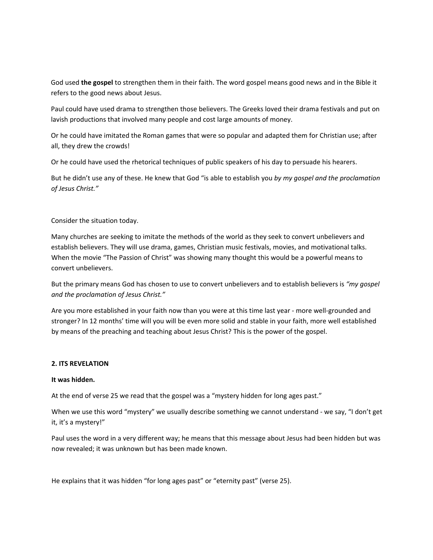God used **the gospel** to strengthen them in their faith. The word gospel means good news and in the Bible it refers to the good news about Jesus.

Paul could have used drama to strengthen those believers. The Greeks loved their drama festivals and put on lavish productions that involved many people and cost large amounts of money.

Or he could have imitated the Roman games that were so popular and adapted them for Christian use; after all, they drew the crowds!

Or he could have used the rhetorical techniques of public speakers of his day to persuade his hearers.

But he didn't use any of these. He knew that God "is able to establish you *by my gospel and the proclamation of Jesus Christ."*

Consider the situation today.

Many churches are seeking to imitate the methods of the world as they seek to convert unbelievers and establish believers. They will use drama, games, Christian music festivals, movies, and motivational talks. When the movie "The Passion of Christ" was showing many thought this would be a powerful means to convert unbelievers.

But the primary means God has chosen to use to convert unbelievers and to establish believers is *"my gospel and the proclamation of Jesus Christ."*

Are you more established in your faith now than you were at this time last year ‐ more well‐grounded and stronger? In 12 months' time will you will be even more solid and stable in your faith, more well established by means of the preaching and teaching about Jesus Christ? This is the power of the gospel.

## **2. ITS REVELATION**

## **It was hidden.**

At the end of verse 25 we read that the gospel was a "mystery hidden for long ages past."

When we use this word "mystery" we usually describe something we cannot understand - we say, "I don't get it, it's a mystery!"

Paul uses the word in a very different way; he means that this message about Jesus had been hidden but was now revealed; it was unknown but has been made known.

He explains that it was hidden "for long ages past" or "eternity past" (verse 25).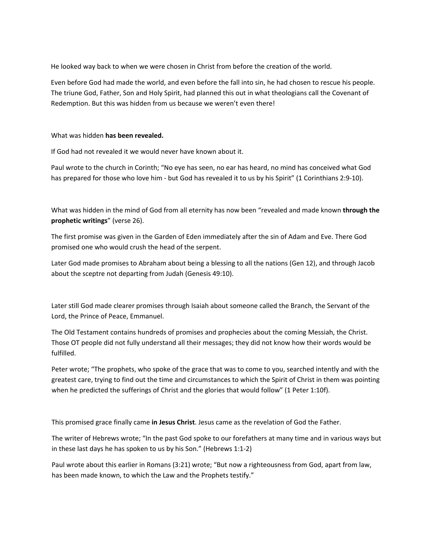He looked way back to when we were chosen in Christ from before the creation of the world.

Even before God had made the world, and even before the fall into sin, he had chosen to rescue his people. The triune God, Father, Son and Holy Spirit, had planned this out in what theologians call the Covenant of Redemption. But this was hidden from us because we weren't even there!

What was hidden **has been revealed.**

If God had not revealed it we would never have known about it.

Paul wrote to the church in Corinth; "No eye has seen, no ear has heard, no mind has conceived what God has prepared for those who love him - but God has revealed it to us by his Spirit" (1 Corinthians 2:9-10).

What was hidden in the mind of God from all eternity has now been "revealed and made known **through the prophetic writings**" (verse 26).

The first promise was given in the Garden of Eden immediately after the sin of Adam and Eve. There God promised one who would crush the head of the serpent.

Later God made promises to Abraham about being a blessing to all the nations (Gen 12), and through Jacob about the sceptre not departing from Judah (Genesis 49:10).

Later still God made clearer promises through Isaiah about someone called the Branch, the Servant of the Lord, the Prince of Peace, Emmanuel.

The Old Testament contains hundreds of promises and prophecies about the coming Messiah, the Christ. Those OT people did not fully understand all their messages; they did not know how their words would be fulfilled.

Peter wrote; "The prophets, who spoke of the grace that was to come to you, searched intently and with the greatest care, trying to find out the time and circumstances to which the Spirit of Christ in them was pointing when he predicted the sufferings of Christ and the glories that would follow" (1 Peter 1:10f).

This promised grace finally came **in Jesus Christ**. Jesus came as the revelation of God the Father.

The writer of Hebrews wrote; "In the past God spoke to our forefathers at many time and in various ways but in these last days he has spoken to us by his Son." (Hebrews 1:1‐2)

Paul wrote about this earlier in Romans (3:21) wrote; "But now a righteousness from God, apart from law, has been made known, to which the Law and the Prophets testify."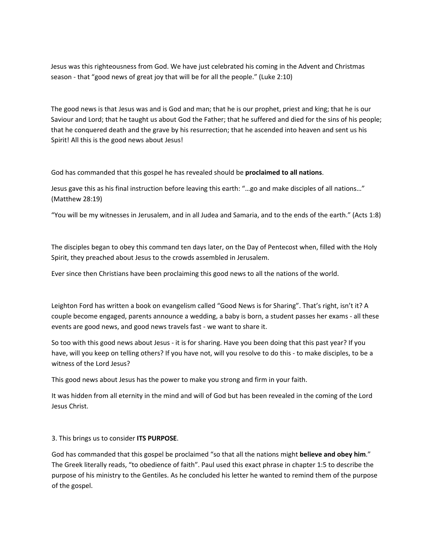Jesus was this righteousness from God. We have just celebrated his coming in the Advent and Christmas season ‐ that "good news of great joy that will be for all the people." (Luke 2:10)

The good news is that Jesus was and is God and man; that he is our prophet, priest and king; that he is our Saviour and Lord; that he taught us about God the Father; that he suffered and died for the sins of his people; that he conquered death and the grave by his resurrection; that he ascended into heaven and sent us his Spirit! All this is the good news about Jesus!

God has commanded that this gospel he has revealed should be **proclaimed to all nations**.

Jesus gave this as his final instruction before leaving this earth: "…go and make disciples of all nations…" (Matthew 28:19)

"You will be my witnesses in Jerusalem, and in all Judea and Samaria, and to the ends of the earth." (Acts 1:8)

The disciples began to obey this command ten days later, on the Day of Pentecost when, filled with the Holy Spirit, they preached about Jesus to the crowds assembled in Jerusalem.

Ever since then Christians have been proclaiming this good news to all the nations of the world.

Leighton Ford has written a book on evangelism called "Good News is for Sharing". That's right, isn't it? A couple become engaged, parents announce a wedding, a baby is born, a student passes her exams ‐ all these events are good news, and good news travels fast ‐ we want to share it.

So too with this good news about Jesus ‐ it is for sharing. Have you been doing that this past year? If you have, will you keep on telling others? If you have not, will you resolve to do this - to make disciples, to be a witness of the Lord Jesus?

This good news about Jesus has the power to make you strong and firm in your faith.

It was hidden from all eternity in the mind and will of God but has been revealed in the coming of the Lord Jesus Christ.

3. This brings us to consider **ITS PURPOSE**.

God has commanded that this gospel be proclaimed "so that all the nations might **believe and obey him**." The Greek literally reads, "to obedience of faith". Paul used this exact phrase in chapter 1:5 to describe the purpose of his ministry to the Gentiles. As he concluded his letter he wanted to remind them of the purpose of the gospel.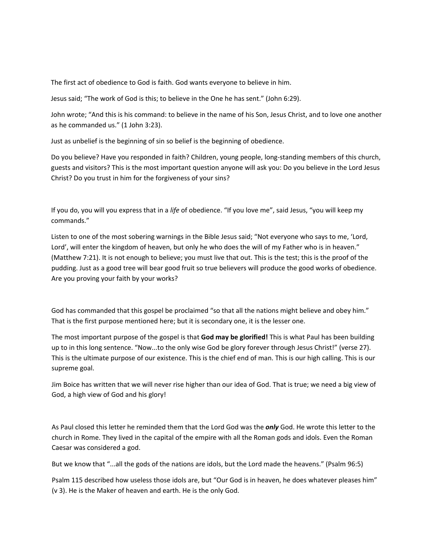The first act of obedience to God is faith. God wants everyone to believe in him.

Jesus said; "The work of God is this; to believe in the One he has sent." (John 6:29).

John wrote; "And this is his command: to believe in the name of his Son, Jesus Christ, and to love one another as he commanded us." (1 John 3:23).

Just as unbelief is the beginning of sin so belief is the beginning of obedience.

Do you believe? Have you responded in faith? Children, young people, long-standing members of this church, guests and visitors? This is the most important question anyone will ask you: Do you believe in the Lord Jesus Christ? Do you trust in him for the forgiveness of your sins?

If you do, you will you express that in a *life* of obedience. "If you love me", said Jesus, "you will keep my commands."

Listen to one of the most sobering warnings in the Bible Jesus said; "Not everyone who says to me, 'Lord, Lord', will enter the kingdom of heaven, but only he who does the will of my Father who is in heaven." (Matthew 7:21). It is not enough to believe; you must live that out. This is the test; this is the proof of the pudding. Just as a good tree will bear good fruit so true believers will produce the good works of obedience. Are you proving your faith by your works?

God has commanded that this gospel be proclaimed "so that all the nations might believe and obey him." That is the first purpose mentioned here; but it is secondary one, it is the lesser one.

The most important purpose of the gospel is that **God may be glorified!** This is what Paul has been building up to in this long sentence. "Now...to the only wise God be glory forever through Jesus Christ!" (verse 27). This is the ultimate purpose of our existence. This is the chief end of man. This is our high calling. This is our supreme goal.

Jim Boice has written that we will never rise higher than our idea of God. That is true; we need a big view of God, a high view of God and his glory!

As Paul closed this letter he reminded them that the Lord God was the *only* God. He wrote this letter to the church in Rome. They lived in the capital of the empire with all the Roman gods and idols. Even the Roman Caesar was considered a god.

But we know that "...all the gods of the nations are idols, but the Lord made the heavens." (Psalm 96:5)

Psalm 115 described how useless those idols are, but "Our God is in heaven, he does whatever pleases him" (v 3). He is the Maker of heaven and earth. He is the only God.